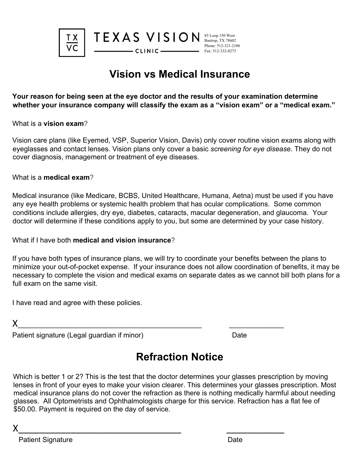

## **Vision vs Medical Insurance**

**Your reason for being seen at the eye doctor and the results of your examination determine whether your insurance company will classify the exam as a "vision exam" or a "medical exam."** 

What is a **vision exam**?

Vision care plans (like Eyemed, VSP, Superior Vision, Davis) only cover routine vision exams along with eyeglasses and contact lenses. Vision plans only cover a basic *screening for eye disease*. They do not cover diagnosis, management or treatment of eye diseases.

What is a **medical exam**?

Medical insurance (like Medicare, BCBS, United Healthcare, Humana, Aetna) must be used if you have any eye health problems or systemic health problem that has ocular complications. Some common conditions include allergies, dry eye, diabetes, cataracts, macular degeneration, and glaucoma. Your doctor will determine if these conditions apply to you, but some are determined by your case history.

What if I have both **medical and vision insurance**?

If you have both types of insurance plans, we will try to coordinate your benefits between the plans to minimize your out-of-pocket expense. If your insurance does not allow coordination of benefits, it may be necessary to complete the vision and medical exams on separate dates as we cannot bill both plans for a full exam on the same visit.

I have read and agree with these policies.

 $X$ 

Patient signature (Legal guardian if minor) Date

X\_\_\_\_\_\_\_\_\_\_\_\_\_\_\_\_\_\_\_\_\_\_\_\_\_\_\_\_\_\_\_ \_\_\_\_\_\_\_\_\_\_\_

## **Refraction Notice**

Which is better 1 or 2? This is the test that the doctor determines your glasses prescription by moving lenses in front of your eyes to make your vision clearer. This determines your glasses prescription. Most medical insurance plans do not cover the refraction as there is nothing medically harmful about needing glasses. All Optometrists and Ophthalmologists charge for this service. Refraction has a flat fee of \$50.00. Payment is required on the day of service.